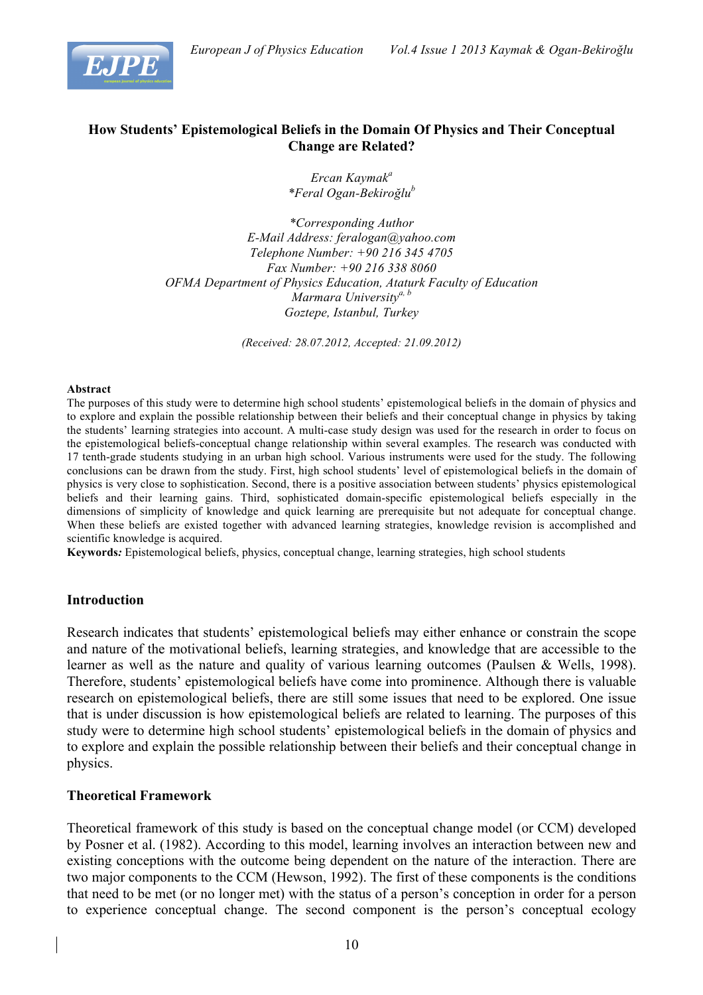

# **How Students' Epistemological Beliefs in the Domain Of Physics and Their Conceptual Change are Related?**

*Ercan Kaymak<sup>a</sup> \*Feral Ogan-Bekiroğlu<sup>b</sup>*

*\*Corresponding Author E-Mail Address: feralogan@yahoo.com Telephone Number: +90 216 345 4705 Fax Number: +90 216 338 8060 OFMA Department of Physics Education, Ataturk Faculty of Education Marmara Universitya, b Goztepe, Istanbul, Turkey* 

*(Received: 28.07.2012, Accepted: 21.09.2012)*

#### **Abstract**

The purposes of this study were to determine high school students' epistemological beliefs in the domain of physics and to explore and explain the possible relationship between their beliefs and their conceptual change in physics by taking the students' learning strategies into account. A multi-case study design was used for the research in order to focus on the epistemological beliefs-conceptual change relationship within several examples. The research was conducted with 17 tenth-grade students studying in an urban high school. Various instruments were used for the study. The following conclusions can be drawn from the study. First, high school students' level of epistemological beliefs in the domain of physics is very close to sophistication. Second, there is a positive association between students' physics epistemological beliefs and their learning gains. Third, sophisticated domain-specific epistemological beliefs especially in the dimensions of simplicity of knowledge and quick learning are prerequisite but not adequate for conceptual change. When these beliefs are existed together with advanced learning strategies, knowledge revision is accomplished and scientific knowledge is acquired.

**Keywords***:* Epistemological beliefs, physics, conceptual change, learning strategies, high school students

### **Introduction**

Research indicates that students' epistemological beliefs may either enhance or constrain the scope and nature of the motivational beliefs, learning strategies, and knowledge that are accessible to the learner as well as the nature and quality of various learning outcomes (Paulsen & Wells, 1998). Therefore, students' epistemological beliefs have come into prominence. Although there is valuable research on epistemological beliefs, there are still some issues that need to be explored. One issue that is under discussion is how epistemological beliefs are related to learning. The purposes of this study were to determine high school students' epistemological beliefs in the domain of physics and to explore and explain the possible relationship between their beliefs and their conceptual change in physics.

### **Theoretical Framework**

Theoretical framework of this study is based on the conceptual change model (or CCM) developed by Posner et al. (1982). According to this model, learning involves an interaction between new and existing conceptions with the outcome being dependent on the nature of the interaction. There are two major components to the CCM (Hewson, 1992). The first of these components is the conditions that need to be met (or no longer met) with the status of a person's conception in order for a person to experience conceptual change. The second component is the person's conceptual ecology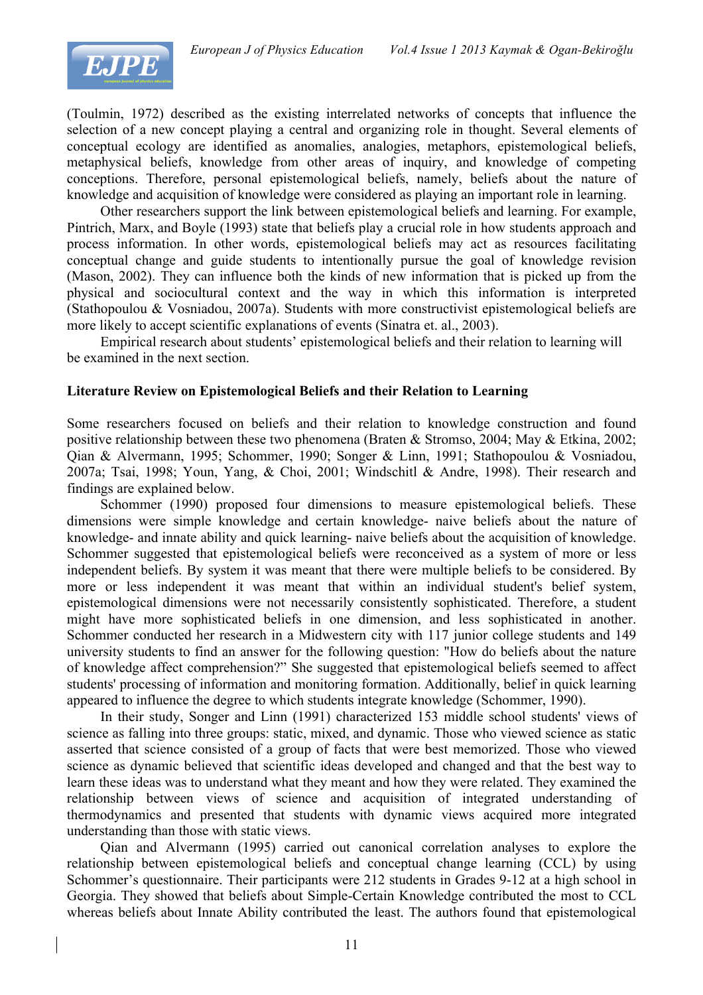

(Toulmin, 1972) described as the existing interrelated networks of concepts that influence the selection of a new concept playing a central and organizing role in thought. Several elements of conceptual ecology are identified as anomalies, analogies, metaphors, epistemological beliefs, metaphysical beliefs, knowledge from other areas of inquiry, and knowledge of competing conceptions. Therefore, personal epistemological beliefs, namely, beliefs about the nature of knowledge and acquisition of knowledge were considered as playing an important role in learning.

Other researchers support the link between epistemological beliefs and learning. For example, Pintrich, Marx, and Boyle (1993) state that beliefs play a crucial role in how students approach and process information. In other words, epistemological beliefs may act as resources facilitating conceptual change and guide students to intentionally pursue the goal of knowledge revision (Mason, 2002). They can influence both the kinds of new information that is picked up from the physical and sociocultural context and the way in which this information is interpreted (Stathopoulou & Vosniadou, 2007a). Students with more constructivist epistemological beliefs are more likely to accept scientific explanations of events (Sinatra et. al., 2003).

Empirical research about students' epistemological beliefs and their relation to learning will be examined in the next section.

# **Literature Review on Epistemological Beliefs and their Relation to Learning**

Some researchers focused on beliefs and their relation to knowledge construction and found positive relationship between these two phenomena (Braten & Stromso, 2004; May & Etkina, 2002; Qian & Alvermann, 1995; Schommer, 1990; Songer & Linn, 1991; Stathopoulou & Vosniadou, 2007a; Tsai, 1998; Youn, Yang, & Choi, 2001; Windschitl & Andre, 1998). Their research and findings are explained below.

Schommer (1990) proposed four dimensions to measure epistemological beliefs. These dimensions were simple knowledge and certain knowledge- naive beliefs about the nature of knowledge- and innate ability and quick learning- naive beliefs about the acquisition of knowledge. Schommer suggested that epistemological beliefs were reconceived as a system of more or less independent beliefs. By system it was meant that there were multiple beliefs to be considered. By more or less independent it was meant that within an individual student's belief system, epistemological dimensions were not necessarily consistently sophisticated. Therefore, a student might have more sophisticated beliefs in one dimension, and less sophisticated in another. Schommer conducted her research in a Midwestern city with 117 junior college students and 149 university students to find an answer for the following question: "How do beliefs about the nature of knowledge affect comprehension?" She suggested that epistemological beliefs seemed to affect students' processing of information and monitoring formation. Additionally, belief in quick learning appeared to influence the degree to which students integrate knowledge (Schommer, 1990).

In their study, Songer and Linn (1991) characterized 153 middle school students' views of science as falling into three groups: static, mixed, and dynamic. Those who viewed science as static asserted that science consisted of a group of facts that were best memorized. Those who viewed science as dynamic believed that scientific ideas developed and changed and that the best way to learn these ideas was to understand what they meant and how they were related. They examined the relationship between views of science and acquisition of integrated understanding of thermodynamics and presented that students with dynamic views acquired more integrated understanding than those with static views.

Qian and Alvermann (1995) carried out canonical correlation analyses to explore the relationship between epistemological beliefs and conceptual change learning (CCL) by using Schommer's questionnaire. Their participants were 212 students in Grades 9-12 at a high school in Georgia. They showed that beliefs about Simple-Certain Knowledge contributed the most to CCL whereas beliefs about Innate Ability contributed the least. The authors found that epistemological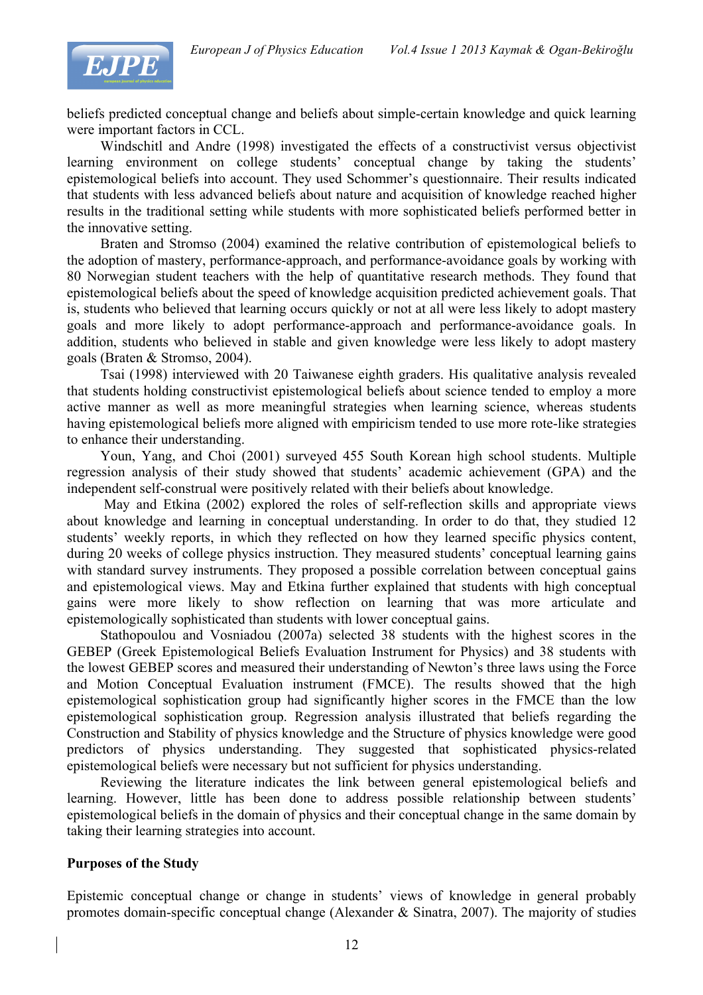

beliefs predicted conceptual change and beliefs about simple-certain knowledge and quick learning were important factors in CCL.

Windschitl and Andre (1998) investigated the effects of a constructivist versus objectivist learning environment on college students' conceptual change by taking the students' epistemological beliefs into account. They used Schommer's questionnaire. Their results indicated that students with less advanced beliefs about nature and acquisition of knowledge reached higher results in the traditional setting while students with more sophisticated beliefs performed better in the innovative setting.

Braten and Stromso (2004) examined the relative contribution of epistemological beliefs to the adoption of mastery, performance-approach, and performance-avoidance goals by working with 80 Norwegian student teachers with the help of quantitative research methods. They found that epistemological beliefs about the speed of knowledge acquisition predicted achievement goals. That is, students who believed that learning occurs quickly or not at all were less likely to adopt mastery goals and more likely to adopt performance-approach and performance-avoidance goals. In addition, students who believed in stable and given knowledge were less likely to adopt mastery goals (Braten & Stromso, 2004).

Tsai (1998) interviewed with 20 Taiwanese eighth graders. His qualitative analysis revealed that students holding constructivist epistemological beliefs about science tended to employ a more active manner as well as more meaningful strategies when learning science, whereas students having epistemological beliefs more aligned with empiricism tended to use more rote-like strategies to enhance their understanding.

Youn, Yang, and Choi (2001) surveyed 455 South Korean high school students. Multiple regression analysis of their study showed that students' academic achievement (GPA) and the independent self-construal were positively related with their beliefs about knowledge.

May and Etkina (2002) explored the roles of self-reflection skills and appropriate views about knowledge and learning in conceptual understanding. In order to do that, they studied 12 students' weekly reports, in which they reflected on how they learned specific physics content, during 20 weeks of college physics instruction. They measured students' conceptual learning gains with standard survey instruments. They proposed a possible correlation between conceptual gains and epistemological views. May and Etkina further explained that students with high conceptual gains were more likely to show reflection on learning that was more articulate and epistemologically sophisticated than students with lower conceptual gains.

Stathopoulou and Vosniadou (2007a) selected 38 students with the highest scores in the GEBEP (Greek Epistemological Beliefs Evaluation Instrument for Physics) and 38 students with the lowest GEBEP scores and measured their understanding of Newton's three laws using the Force and Motion Conceptual Evaluation instrument (FMCE). The results showed that the high epistemological sophistication group had significantly higher scores in the FMCE than the low epistemological sophistication group. Regression analysis illustrated that beliefs regarding the Construction and Stability of physics knowledge and the Structure of physics knowledge were good predictors of physics understanding. They suggested that sophisticated physics-related epistemological beliefs were necessary but not sufficient for physics understanding.

Reviewing the literature indicates the link between general epistemological beliefs and learning. However, little has been done to address possible relationship between students' epistemological beliefs in the domain of physics and their conceptual change in the same domain by taking their learning strategies into account.

### **Purposes of the Study**

Epistemic conceptual change or change in students' views of knowledge in general probably promotes domain-specific conceptual change (Alexander & Sinatra, 2007). The majority of studies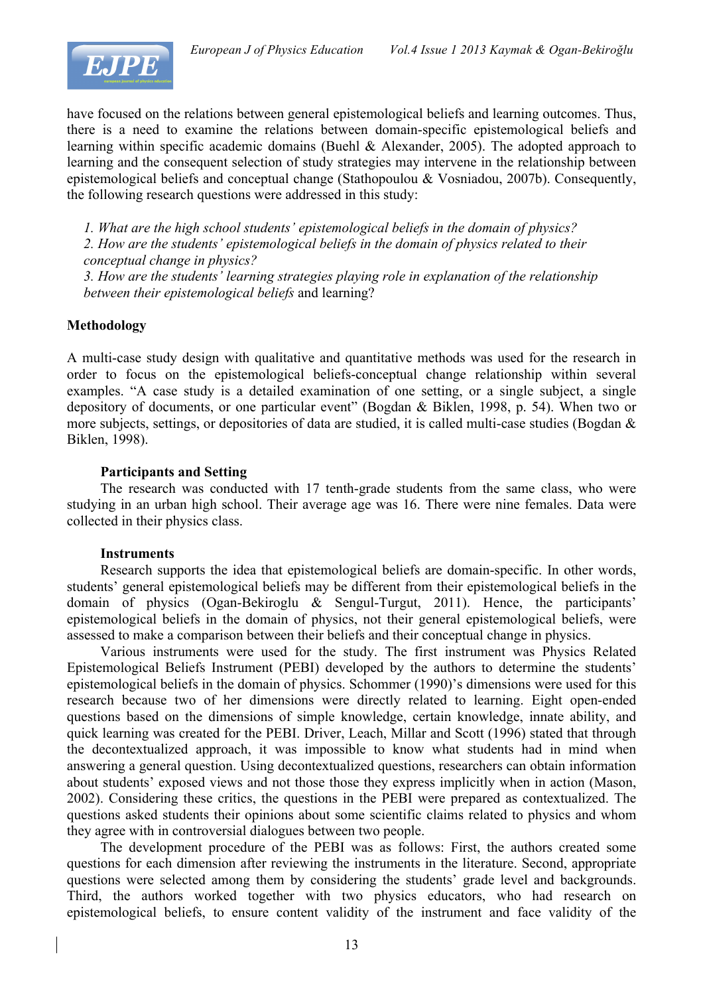

have focused on the relations between general epistemological beliefs and learning outcomes. Thus, there is a need to examine the relations between domain-specific epistemological beliefs and learning within specific academic domains (Buehl & Alexander, 2005). The adopted approach to learning and the consequent selection of study strategies may intervene in the relationship between epistemological beliefs and conceptual change (Stathopoulou & Vosniadou, 2007b). Consequently, the following research questions were addressed in this study:

*1. What are the high school students' epistemological beliefs in the domain of physics? 2. How are the students' epistemological beliefs in the domain of physics related to their conceptual change in physics?*

*3. How are the students' learning strategies playing role in explanation of the relationship between their epistemological beliefs* and learning?

# **Methodology**

A multi-case study design with qualitative and quantitative methods was used for the research in order to focus on the epistemological beliefs-conceptual change relationship within several examples. "A case study is a detailed examination of one setting, or a single subject, a single depository of documents, or one particular event" (Bogdan & Biklen, 1998, p. 54). When two or more subjects, settings, or depositories of data are studied, it is called multi-case studies (Bogdan & Biklen, 1998).

# **Participants and Setting**

The research was conducted with 17 tenth-grade students from the same class, who were studying in an urban high school. Their average age was 16. There were nine females. Data were collected in their physics class.

### **Instruments**

Research supports the idea that epistemological beliefs are domain-specific. In other words, students' general epistemological beliefs may be different from their epistemological beliefs in the domain of physics (Ogan-Bekiroglu & Sengul-Turgut, 2011). Hence, the participants' epistemological beliefs in the domain of physics, not their general epistemological beliefs, were assessed to make a comparison between their beliefs and their conceptual change in physics.

Various instruments were used for the study. The first instrument was Physics Related Epistemological Beliefs Instrument (PEBI) developed by the authors to determine the students' epistemological beliefs in the domain of physics. Schommer (1990)'s dimensions were used for this research because two of her dimensions were directly related to learning. Eight open-ended questions based on the dimensions of simple knowledge, certain knowledge, innate ability, and quick learning was created for the PEBI. Driver, Leach, Millar and Scott (1996) stated that through the decontextualized approach, it was impossible to know what students had in mind when answering a general question. Using decontextualized questions, researchers can obtain information about students' exposed views and not those those they express implicitly when in action (Mason, 2002). Considering these critics, the questions in the PEBI were prepared as contextualized. The questions asked students their opinions about some scientific claims related to physics and whom they agree with in controversial dialogues between two people.

The development procedure of the PEBI was as follows: First, the authors created some questions for each dimension after reviewing the instruments in the literature. Second, appropriate questions were selected among them by considering the students' grade level and backgrounds. Third, the authors worked together with two physics educators, who had research on epistemological beliefs, to ensure content validity of the instrument and face validity of the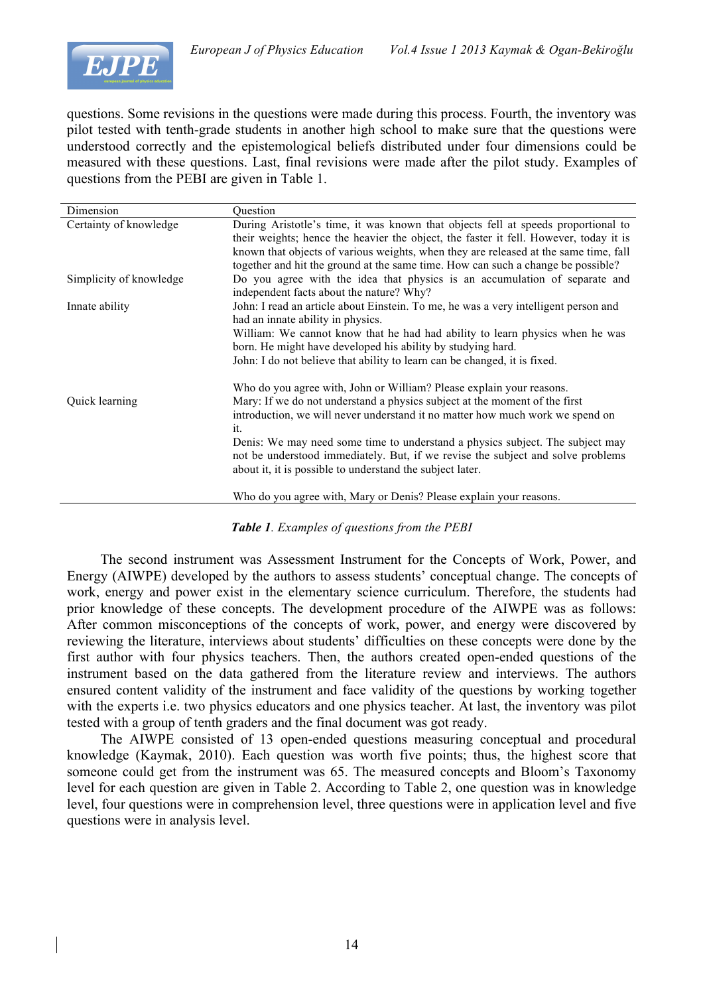

questions. Some revisions in the questions were made during this process. Fourth, the inventory was pilot tested with tenth-grade students in another high school to make sure that the questions were understood correctly and the epistemological beliefs distributed under four dimensions could be measured with these questions. Last, final revisions were made after the pilot study. Examples of questions from the PEBI are given in Table 1.

| Dimension               | Question                                                                                                                                                                                                                                                                                                                                                                                                                                                                    |
|-------------------------|-----------------------------------------------------------------------------------------------------------------------------------------------------------------------------------------------------------------------------------------------------------------------------------------------------------------------------------------------------------------------------------------------------------------------------------------------------------------------------|
| Certainty of knowledge  | During Aristotle's time, it was known that objects fell at speeds proportional to<br>their weights; hence the heavier the object, the faster it fell. However, today it is<br>known that objects of various weights, when they are released at the same time, fall<br>together and hit the ground at the same time. How can such a change be possible?                                                                                                                      |
| Simplicity of knowledge | Do you agree with the idea that physics is an accumulation of separate and<br>independent facts about the nature? Why?                                                                                                                                                                                                                                                                                                                                                      |
| Innate ability          | John: I read an article about Einstein. To me, he was a very intelligent person and<br>had an innate ability in physics.<br>William: We cannot know that he had had ability to learn physics when he was<br>born. He might have developed his ability by studying hard.<br>John: I do not believe that ability to learn can be changed, it is fixed.                                                                                                                        |
| Quick learning          | Who do you agree with, John or William? Please explain your reasons.<br>Mary: If we do not understand a physics subject at the moment of the first<br>introduction, we will never understand it no matter how much work we spend on<br>it.<br>Denis: We may need some time to understand a physics subject. The subject may<br>not be understood immediately. But, if we revise the subject and solve problems<br>about it, it is possible to understand the subject later. |
|                         | Who do you agree with, Mary or Denis? Please explain your reasons.                                                                                                                                                                                                                                                                                                                                                                                                          |

### *Table 1. Examples of questions from the PEBI*

The second instrument was Assessment Instrument for the Concepts of Work, Power, and Energy (AIWPE) developed by the authors to assess students' conceptual change. The concepts of work, energy and power exist in the elementary science curriculum. Therefore, the students had prior knowledge of these concepts. The development procedure of the AIWPE was as follows: After common misconceptions of the concepts of work, power, and energy were discovered by reviewing the literature, interviews about students' difficulties on these concepts were done by the first author with four physics teachers. Then, the authors created open-ended questions of the instrument based on the data gathered from the literature review and interviews. The authors ensured content validity of the instrument and face validity of the questions by working together with the experts i.e. two physics educators and one physics teacher. At last, the inventory was pilot tested with a group of tenth graders and the final document was got ready.

The AIWPE consisted of 13 open-ended questions measuring conceptual and procedural knowledge (Kaymak, 2010). Each question was worth five points; thus, the highest score that someone could get from the instrument was 65. The measured concepts and Bloom's Taxonomy level for each question are given in Table 2. According to Table 2, one question was in knowledge level, four questions were in comprehension level, three questions were in application level and five questions were in analysis level.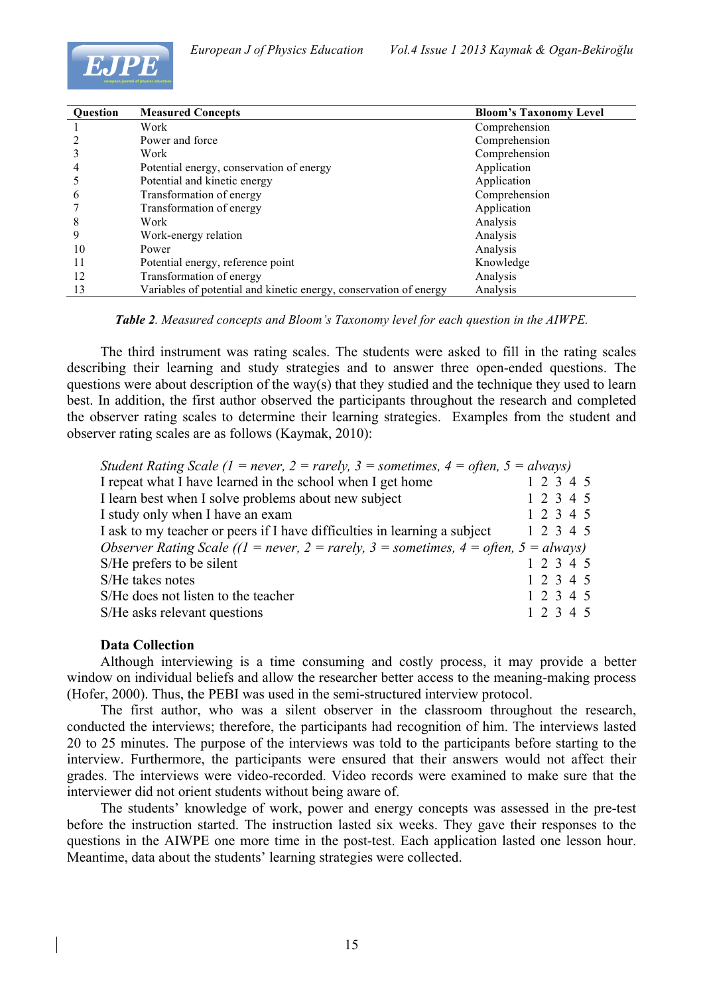



| <b>Ouestion</b> | <b>Measured Concepts</b>                                          | <b>Bloom's Taxonomy Level</b> |
|-----------------|-------------------------------------------------------------------|-------------------------------|
|                 | Work                                                              | Comprehension                 |
|                 | Power and force                                                   | Comprehension                 |
|                 | Work                                                              | Comprehension                 |
| 4               | Potential energy, conservation of energy                          | Application                   |
|                 | Potential and kinetic energy                                      | Application                   |
| $\mathfrak b$   | Transformation of energy                                          | Comprehension                 |
|                 | Transformation of energy                                          | Application                   |
| 8               | Work                                                              | Analysis                      |
| 9               | Work-energy relation                                              | Analysis                      |
| 10              | Power                                                             | Analysis                      |
| 11              | Potential energy, reference point                                 | Knowledge                     |
| 12              | Transformation of energy                                          | Analysis                      |
| 13              | Variables of potential and kinetic energy, conservation of energy | Analysis                      |

*Table 2. Measured concepts and Bloom's Taxonomy level for each question in the AIWPE.*

The third instrument was rating scales. The students were asked to fill in the rating scales describing their learning and study strategies and to answer three open-ended questions. The questions were about description of the way(s) that they studied and the technique they used to learn best. In addition, the first author observed the participants throughout the research and completed the observer rating scales to determine their learning strategies. Examples from the student and observer rating scales are as follows (Kaymak, 2010):

| Student Rating Scale (1 = never, 2 = rarely, 3 = sometimes, 4 = often, 5 = always)   |           |           |  |  |
|--------------------------------------------------------------------------------------|-----------|-----------|--|--|
| I repeat what I have learned in the school when I get home                           |           | 1 2 3 4 5 |  |  |
| I learn best when I solve problems about new subject                                 |           | 1 2 3 4 5 |  |  |
| I study only when I have an exam                                                     |           | 1 2 3 4 5 |  |  |
| I ask to my teacher or peers if I have difficulties in learning a subject            | 1 2 3 4 5 |           |  |  |
| Observer Rating Scale ((1 = never, 2 = rarely, 3 = sometimes, 4 = often, 5 = always) |           |           |  |  |
| S/He prefers to be silent                                                            |           | 1 2 3 4 5 |  |  |
| S/He takes notes                                                                     |           | 1 2 3 4 5 |  |  |
|                                                                                      |           |           |  |  |
| S/He does not listen to the teacher                                                  | 1 2 3 4 5 |           |  |  |
| S/He asks relevant questions                                                         |           | 1 2 3 4 5 |  |  |

### **Data Collection**

Although interviewing is a time consuming and costly process, it may provide a better window on individual beliefs and allow the researcher better access to the meaning-making process (Hofer, 2000). Thus, the PEBI was used in the semi-structured interview protocol.

The first author, who was a silent observer in the classroom throughout the research, conducted the interviews; therefore, the participants had recognition of him. The interviews lasted 20 to 25 minutes. The purpose of the interviews was told to the participants before starting to the interview. Furthermore, the participants were ensured that their answers would not affect their grades. The interviews were video-recorded. Video records were examined to make sure that the interviewer did not orient students without being aware of.

The students' knowledge of work, power and energy concepts was assessed in the pre-test before the instruction started. The instruction lasted six weeks. They gave their responses to the questions in the AIWPE one more time in the post-test. Each application lasted one lesson hour. Meantime, data about the students' learning strategies were collected.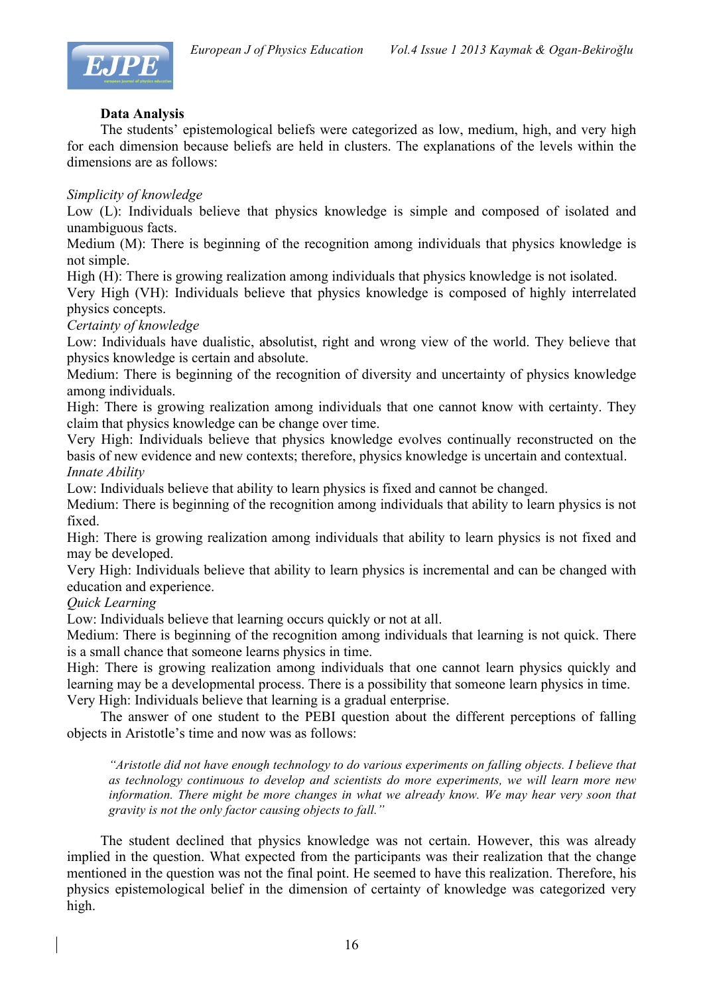

# **Data Analysis**

The students' epistemological beliefs were categorized as low, medium, high, and very high for each dimension because beliefs are held in clusters. The explanations of the levels within the dimensions are as follows:

## *Simplicity of knowledge*

Low (L): Individuals believe that physics knowledge is simple and composed of isolated and unambiguous facts.

Medium (M): There is beginning of the recognition among individuals that physics knowledge is not simple.

High (H): There is growing realization among individuals that physics knowledge is not isolated.

Very High (VH): Individuals believe that physics knowledge is composed of highly interrelated physics concepts.

### *Certainty of knowledge*

Low: Individuals have dualistic, absolutist, right and wrong view of the world. They believe that physics knowledge is certain and absolute.

Medium: There is beginning of the recognition of diversity and uncertainty of physics knowledge among individuals.

High: There is growing realization among individuals that one cannot know with certainty. They claim that physics knowledge can be change over time.

Very High: Individuals believe that physics knowledge evolves continually reconstructed on the basis of new evidence and new contexts; therefore, physics knowledge is uncertain and contextual. *Innate Ability*

Low: Individuals believe that ability to learn physics is fixed and cannot be changed.

Medium: There is beginning of the recognition among individuals that ability to learn physics is not fixed.

High: There is growing realization among individuals that ability to learn physics is not fixed and may be developed.

Very High: Individuals believe that ability to learn physics is incremental and can be changed with education and experience.

*Quick Learning*

Low: Individuals believe that learning occurs quickly or not at all.

Medium: There is beginning of the recognition among individuals that learning is not quick. There is a small chance that someone learns physics in time.

High: There is growing realization among individuals that one cannot learn physics quickly and learning may be a developmental process. There is a possibility that someone learn physics in time. Very High: Individuals believe that learning is a gradual enterprise.

The answer of one student to the PEBI question about the different perceptions of falling objects in Aristotle's time and now was as follows:

*"Aristotle did not have enough technology to do various experiments on falling objects. I believe that as technology continuous to develop and scientists do more experiments, we will learn more new information. There might be more changes in what we already know. We may hear very soon that gravity is not the only factor causing objects to fall."*

The student declined that physics knowledge was not certain. However, this was already implied in the question. What expected from the participants was their realization that the change mentioned in the question was not the final point. He seemed to have this realization. Therefore, his physics epistemological belief in the dimension of certainty of knowledge was categorized very high.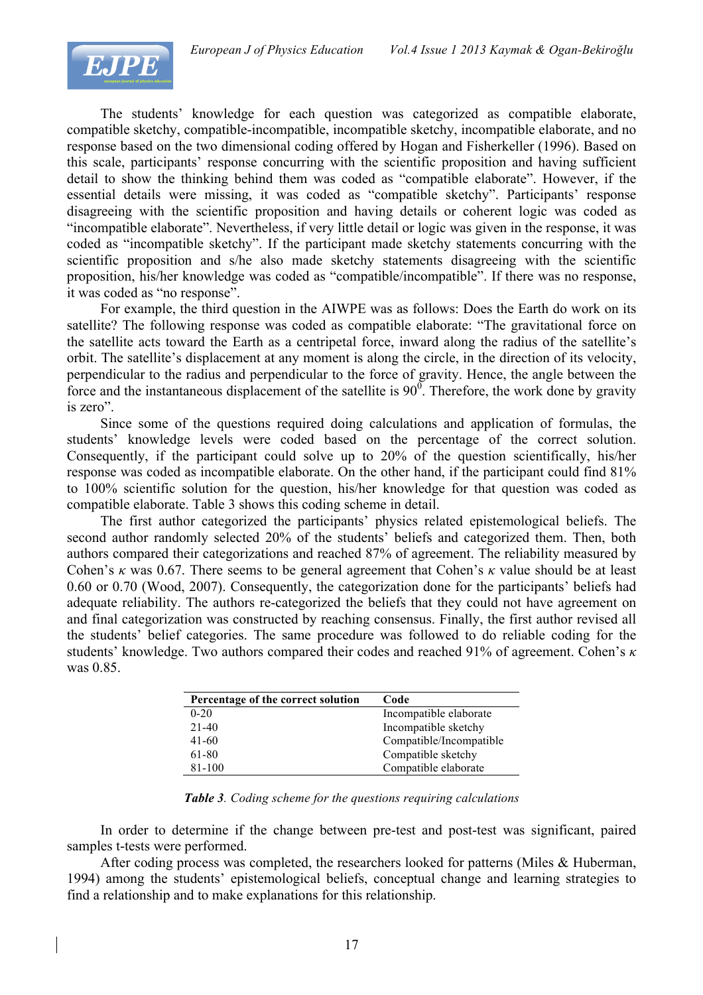

The students' knowledge for each question was categorized as compatible elaborate, compatible sketchy, compatible-incompatible, incompatible sketchy, incompatible elaborate, and no response based on the two dimensional coding offered by Hogan and Fisherkeller (1996). Based on this scale, participants' response concurring with the scientific proposition and having sufficient detail to show the thinking behind them was coded as "compatible elaborate". However, if the essential details were missing, it was coded as "compatible sketchy". Participants' response disagreeing with the scientific proposition and having details or coherent logic was coded as "incompatible elaborate". Nevertheless, if very little detail or logic was given in the response, it was coded as "incompatible sketchy". If the participant made sketchy statements concurring with the scientific proposition and s/he also made sketchy statements disagreeing with the scientific proposition, his/her knowledge was coded as "compatible/incompatible". If there was no response, it was coded as "no response".

For example, the third question in the AIWPE was as follows: Does the Earth do work on its satellite? The following response was coded as compatible elaborate: "The gravitational force on the satellite acts toward the Earth as a centripetal force, inward along the radius of the satellite's orbit. The satellite's displacement at any moment is along the circle, in the direction of its velocity, perpendicular to the radius and perpendicular to the force of gravity. Hence, the angle between the force and the instantaneous displacement of the satellite is  $90^\circ$ . Therefore, the work done by gravity is zero".

Since some of the questions required doing calculations and application of formulas, the students' knowledge levels were coded based on the percentage of the correct solution. Consequently, if the participant could solve up to 20% of the question scientifically, his/her response was coded as incompatible elaborate. On the other hand, if the participant could find 81% to 100% scientific solution for the question, his/her knowledge for that question was coded as compatible elaborate. Table 3 shows this coding scheme in detail.

The first author categorized the participants' physics related epistemological beliefs. The second author randomly selected 20% of the students' beliefs and categorized them. Then, both authors compared their categorizations and reached 87% of agreement. The reliability measured by Cohen's *κ* was 0.67. There seems to be general agreement that Cohen's *κ* value should be at least 0.60 or 0.70 (Wood, 2007). Consequently, the categorization done for the participants' beliefs had adequate reliability. The authors re-categorized the beliefs that they could not have agreement on and final categorization was constructed by reaching consensus. Finally, the first author revised all the students' belief categories. The same procedure was followed to do reliable coding for the students' knowledge. Two authors compared their codes and reached 91% of agreement. Cohen's *κ* was 0.85.

| Percentage of the correct solution | Code                    |
|------------------------------------|-------------------------|
| $0 - 20$                           | Incompatible elaborate  |
| $21 - 40$                          | Incompatible sketchy    |
| 41-60                              | Compatible/Incompatible |
| 61-80                              | Compatible sketchy      |
| 81-100                             | Compatible elaborate    |

*Table 3. Coding scheme for the questions requiring calculations*

In order to determine if the change between pre-test and post-test was significant, paired samples t-tests were performed.

After coding process was completed, the researchers looked for patterns (Miles & Huberman, 1994) among the students' epistemological beliefs, conceptual change and learning strategies to find a relationship and to make explanations for this relationship.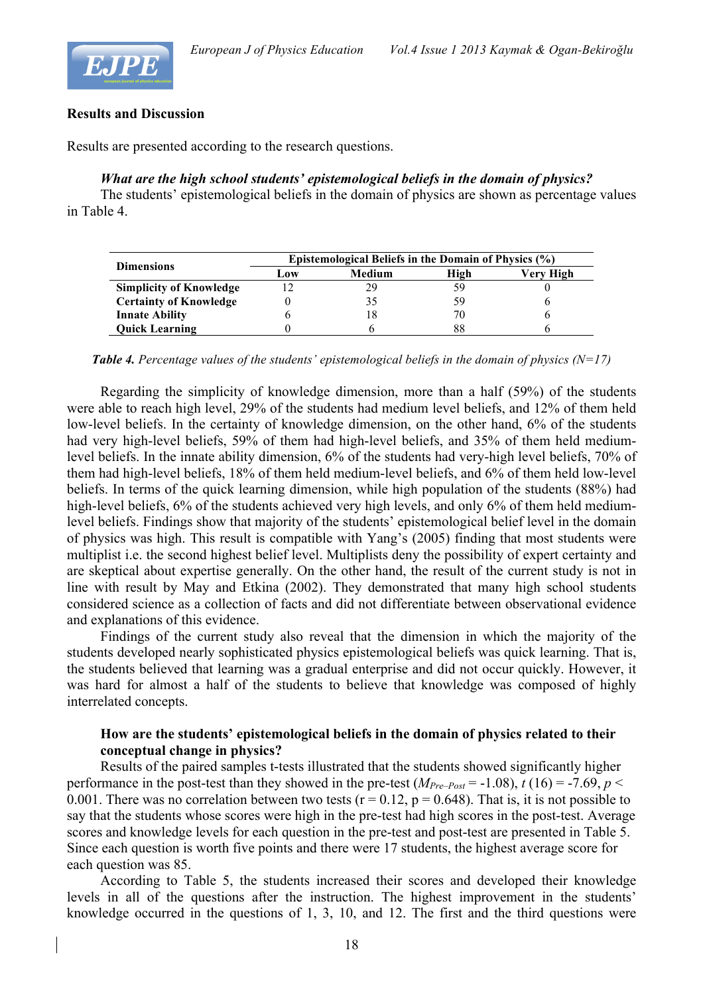



## **Results and Discussion**

Results are presented according to the research questions.

# *What are the high school students' epistemological beliefs in the domain of physics?*

The students' epistemological beliefs in the domain of physics are shown as percentage values in Table 4.

| <b>Dimensions</b>              | Epistemological Beliefs in the Domain of Physics (%) |        |    |           |  |  |  |  |
|--------------------------------|------------------------------------------------------|--------|----|-----------|--|--|--|--|
|                                | Low                                                  | Medium |    | Verv High |  |  |  |  |
| <b>Simplicity of Knowledge</b> |                                                      | 29     |    |           |  |  |  |  |
| <b>Certainty of Knowledge</b>  |                                                      |        | 59 |           |  |  |  |  |
| <b>Innate Ability</b>          |                                                      |        | 70 |           |  |  |  |  |
| <b>Ouick Learning</b>          |                                                      |        |    |           |  |  |  |  |

*Table 4. Percentage values of the students' epistemological beliefs in the domain of physics (N=17)*

Regarding the simplicity of knowledge dimension, more than a half (59%) of the students were able to reach high level, 29% of the students had medium level beliefs, and 12% of them held low-level beliefs. In the certainty of knowledge dimension, on the other hand, 6% of the students had very high-level beliefs, 59% of them had high-level beliefs, and 35% of them held mediumlevel beliefs. In the innate ability dimension, 6% of the students had very-high level beliefs, 70% of them had high-level beliefs, 18% of them held medium-level beliefs, and 6% of them held low-level beliefs. In terms of the quick learning dimension, while high population of the students (88%) had high-level beliefs, 6% of the students achieved very high levels, and only 6% of them held mediumlevel beliefs. Findings show that majority of the students' epistemological belief level in the domain of physics was high. This result is compatible with Yang's (2005) finding that most students were multiplist i.e. the second highest belief level. Multiplists deny the possibility of expert certainty and are skeptical about expertise generally. On the other hand, the result of the current study is not in line with result by May and Etkina (2002). They demonstrated that many high school students considered science as a collection of facts and did not differentiate between observational evidence and explanations of this evidence.

Findings of the current study also reveal that the dimension in which the majority of the students developed nearly sophisticated physics epistemological beliefs was quick learning. That is, the students believed that learning was a gradual enterprise and did not occur quickly. However, it was hard for almost a half of the students to believe that knowledge was composed of highly interrelated concepts.

# **How are the students' epistemological beliefs in the domain of physics related to their conceptual change in physics?**

Results of the paired samples t-tests illustrated that the students showed significantly higher performance in the post-test than they showed in the pre-test  $(M_{Pre-Post} = -1.08)$ ,  $t(16) = -7.69$ ,  $p <$ 0.001. There was no correlation between two tests ( $r = 0.12$ ,  $p = 0.648$ ). That is, it is not possible to say that the students whose scores were high in the pre-test had high scores in the post-test. Average scores and knowledge levels for each question in the pre-test and post-test are presented in Table 5. Since each question is worth five points and there were 17 students, the highest average score for each question was 85.

According to Table 5, the students increased their scores and developed their knowledge levels in all of the questions after the instruction. The highest improvement in the students' knowledge occurred in the questions of 1, 3, 10, and 12. The first and the third questions were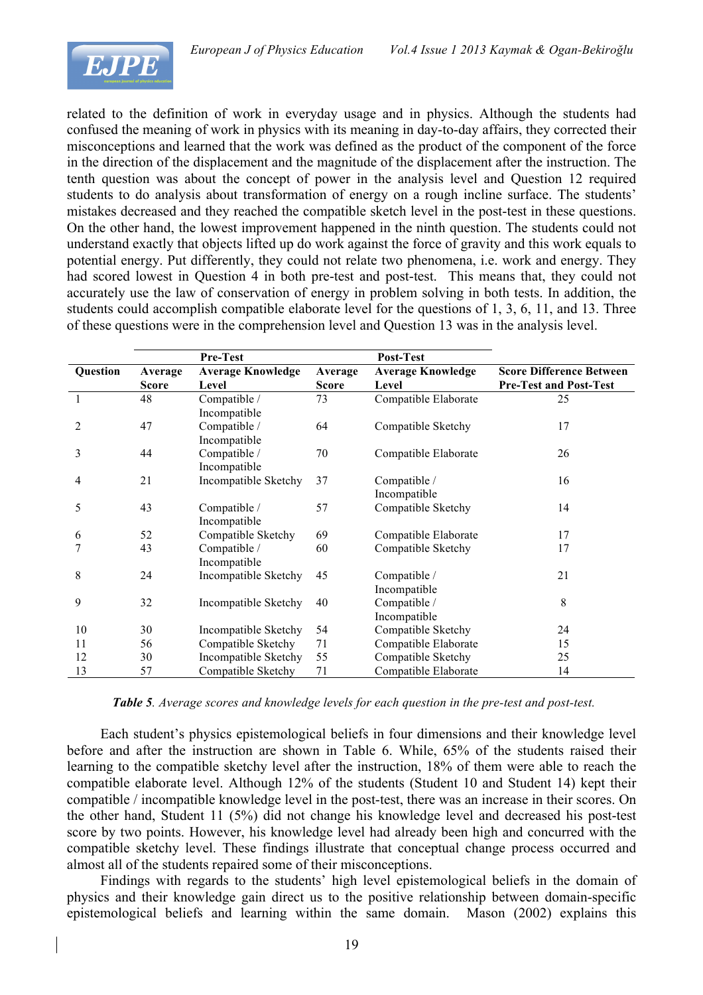

related to the definition of work in everyday usage and in physics. Although the students had confused the meaning of work in physics with its meaning in day-to-day affairs, they corrected their misconceptions and learned that the work was defined as the product of the component of the force in the direction of the displacement and the magnitude of the displacement after the instruction. The tenth question was about the concept of power in the analysis level and Question 12 required students to do analysis about transformation of energy on a rough incline surface. The students' mistakes decreased and they reached the compatible sketch level in the post-test in these questions. On the other hand, the lowest improvement happened in the ninth question. The students could not understand exactly that objects lifted up do work against the force of gravity and this work equals to potential energy. Put differently, they could not relate two phenomena, i.e. work and energy. They had scored lowest in Question 4 in both pre-test and post-test. This means that, they could not accurately use the law of conservation of energy in problem solving in both tests. In addition, the students could accomplish compatible elaborate level for the questions of 1, 3, 6, 11, and 13. Three of these questions were in the comprehension level and Question 13 was in the analysis level.

|          |              | Pre-Test                     |              | Post-Test                    |                                 |
|----------|--------------|------------------------------|--------------|------------------------------|---------------------------------|
| Question | Average      | <b>Average Knowledge</b>     | Average      | <b>Average Knowledge</b>     | <b>Score Difference Between</b> |
|          | <b>Score</b> | Level                        | <b>Score</b> | Level                        | <b>Pre-Test and Post-Test</b>   |
|          | 48           | Compatible /<br>Incompatible | 73           | Compatible Elaborate         | 25                              |
| 2        | 47           | Compatible /<br>Incompatible | 64           | Compatible Sketchy           | 17                              |
| 3        | 44           | Compatible /<br>Incompatible | 70           | Compatible Elaborate         | 26                              |
| 4        | 21           | Incompatible Sketchy         | 37           | Compatible /<br>Incompatible | 16                              |
| 5        | 43           | Compatible /<br>Incompatible | 57           | Compatible Sketchy           | 14                              |
| 6        | 52           | Compatible Sketchy           | 69           | Compatible Elaborate         | 17                              |
| 7        | 43           | Compatible /<br>Incompatible | 60           | Compatible Sketchy           | 17                              |
| 8        | 24           | Incompatible Sketchy         | 45           | Compatible /<br>Incompatible | 21                              |
| 9        | 32           | Incompatible Sketchy         | 40           | Compatible /<br>Incompatible | 8                               |
| 10       | 30           | Incompatible Sketchy         | 54           | Compatible Sketchy           | 24                              |
| 11       | 56           | Compatible Sketchy           | 71           | Compatible Elaborate         | 15                              |
| 12       | 30           | Incompatible Sketchy         | 55           | Compatible Sketchy           | 25                              |
| 13       | 57           | Compatible Sketchy           | 71           | Compatible Elaborate         | 14                              |

*Table 5. Average scores and knowledge levels for each question in the pre-test and post-test.*

Each student's physics epistemological beliefs in four dimensions and their knowledge level before and after the instruction are shown in Table 6. While, 65% of the students raised their learning to the compatible sketchy level after the instruction, 18% of them were able to reach the compatible elaborate level. Although 12% of the students (Student 10 and Student 14) kept their compatible / incompatible knowledge level in the post-test, there was an increase in their scores. On the other hand, Student 11 (5%) did not change his knowledge level and decreased his post-test score by two points. However, his knowledge level had already been high and concurred with the compatible sketchy level. These findings illustrate that conceptual change process occurred and almost all of the students repaired some of their misconceptions.

Findings with regards to the students' high level epistemological beliefs in the domain of physics and their knowledge gain direct us to the positive relationship between domain-specific epistemological beliefs and learning within the same domain. Mason (2002) explains this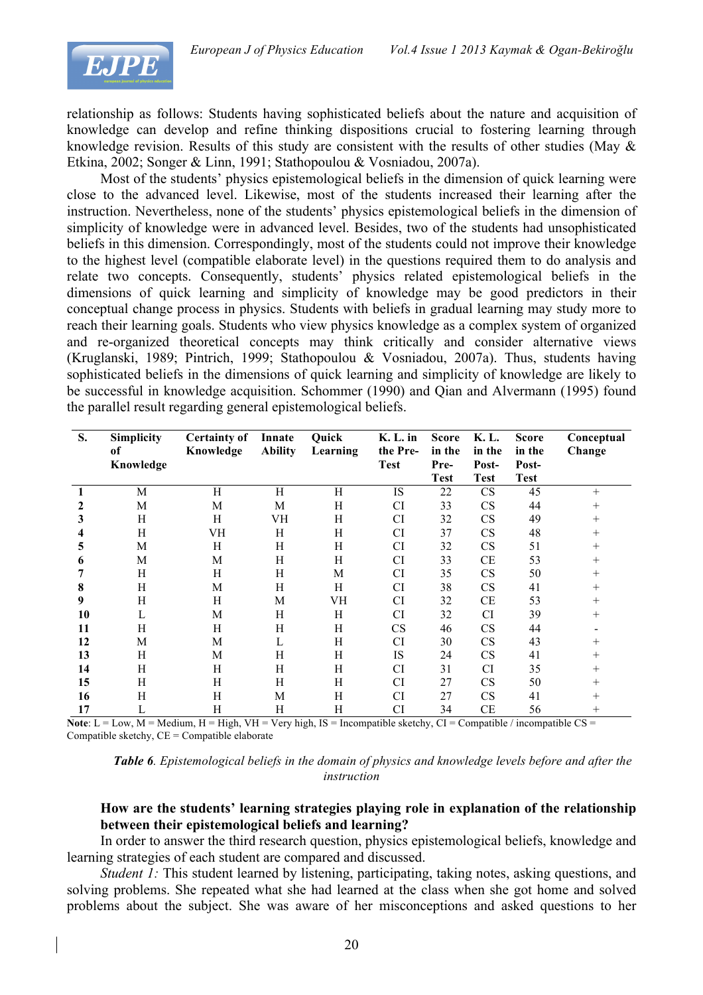

relationship as follows: Students having sophisticated beliefs about the nature and acquisition of knowledge can develop and refine thinking dispositions crucial to fostering learning through knowledge revision. Results of this study are consistent with the results of other studies (May & Etkina, 2002; Songer & Linn, 1991; Stathopoulou & Vosniadou, 2007a).

Most of the students' physics epistemological beliefs in the dimension of quick learning were close to the advanced level. Likewise, most of the students increased their learning after the instruction. Nevertheless, none of the students' physics epistemological beliefs in the dimension of simplicity of knowledge were in advanced level. Besides, two of the students had unsophisticated beliefs in this dimension. Correspondingly, most of the students could not improve their knowledge to the highest level (compatible elaborate level) in the questions required them to do analysis and relate two concepts. Consequently, students' physics related epistemological beliefs in the dimensions of quick learning and simplicity of knowledge may be good predictors in their conceptual change process in physics. Students with beliefs in gradual learning may study more to reach their learning goals. Students who view physics knowledge as a complex system of organized and re-organized theoretical concepts may think critically and consider alternative views (Kruglanski, 1989; Pintrich, 1999; Stathopoulou & Vosniadou, 2007a). Thus, students having sophisticated beliefs in the dimensions of quick learning and simplicity of knowledge are likely to be successful in knowledge acquisition. Schommer (1990) and Qian and Alvermann (1995) found the parallel result regarding general epistemological beliefs.

| S. | <b>Simplicity</b> | <b>Certainty of</b> | Innate         | Quick    | $K. L.$ in  | <b>Score</b> | K. L.       | <b>Score</b> | Conceptual     |
|----|-------------------|---------------------|----------------|----------|-------------|--------------|-------------|--------------|----------------|
|    | of                | Knowledge           | <b>Ability</b> | Learning | the Pre-    | in the       | in the      | in the       | Change         |
|    | Knowledge         |                     |                |          | <b>Test</b> | Pre-         | Post-       | Post-        |                |
|    |                   |                     |                |          |             | <b>Test</b>  | <b>Test</b> | <b>Test</b>  |                |
|    | M                 | H                   | H              | H        | IS          | 22           | CS          | 45           | $+$            |
|    | M                 | M                   | M              | H        | <b>CI</b>   | 33           | CS          | 44           | $\overline{+}$ |
| 3  | Η                 | H                   | VH             | H        | <b>CI</b>   | 32           | CS          | 49           | $+$            |
|    | Н                 | VH                  | H              | H        | <b>CI</b>   | 37           | CS          | 48           | $+$            |
| C. | M                 | H                   | H              | H        | <b>CI</b>   | 32           | <b>CS</b>   | 51           | $^{+}$         |
| o  | M                 | M                   | Η              | H        | <b>CI</b>   | 33           | CE          | 53           | $+$            |
|    | H                 | H                   | H              | M        | <b>CI</b>   | 35           | <b>CS</b>   | 50           | $+$            |
| 8  | H                 | M                   | H              | H        | <b>CI</b>   | 38           | <b>CS</b>   | 41           | $+$            |
| 9  | H                 | H                   | M              | VH       | <b>CI</b>   | 32           | CE          | 53           | $^{+}$         |
| 10 | L                 | M                   | Η              | Η        | <b>CI</b>   | 32           | <b>CI</b>   | 39           | $+$            |
| 11 | H                 | H                   | Η              | H        | <b>CS</b>   | 46           | CS          | 44           |                |
| 12 | M                 | M                   | $\mathbf{L}$   | H        | <b>CI</b>   | 30           | <b>CS</b>   | 43           | $^+$           |
| 13 | H                 | M                   | H              | H        | <b>IS</b>   | 24           | CS          | 41           | $^{+}$         |
| 14 | H                 | H                   | H              | H        | <b>CI</b>   | 31           | CI          | 35           | $^{+}$         |
| 15 | H                 | H                   | H              | H        | <b>CI</b>   | 27           | <b>CS</b>   | 50           | $^{+}$         |
| 16 | H                 | H                   | М              | H        | <b>CI</b>   | 27           | <b>CS</b>   | 41           | $\overline{+}$ |
| 17 | L                 | Н                   | Η              | H        | CI          | 34           | CE          | 56           | $\overline{+}$ |

**Note**:  $L = Low$ ,  $M = Medium$ ,  $H = High$ ,  $VH = Very$  high,  $IS = Incompatible$  sketchy,  $CI = Comparticle / incompatible CS =$ Compatible sketchy,  $CE =$  Compatible elaborate

*Table 6. Epistemological beliefs in the domain of physics and knowledge levels before and after the instruction*

## **How are the students' learning strategies playing role in explanation of the relationship between their epistemological beliefs and learning?**

In order to answer the third research question, physics epistemological beliefs, knowledge and learning strategies of each student are compared and discussed.

*Student 1:* This student learned by listening, participating, taking notes, asking questions, and solving problems. She repeated what she had learned at the class when she got home and solved problems about the subject. She was aware of her misconceptions and asked questions to her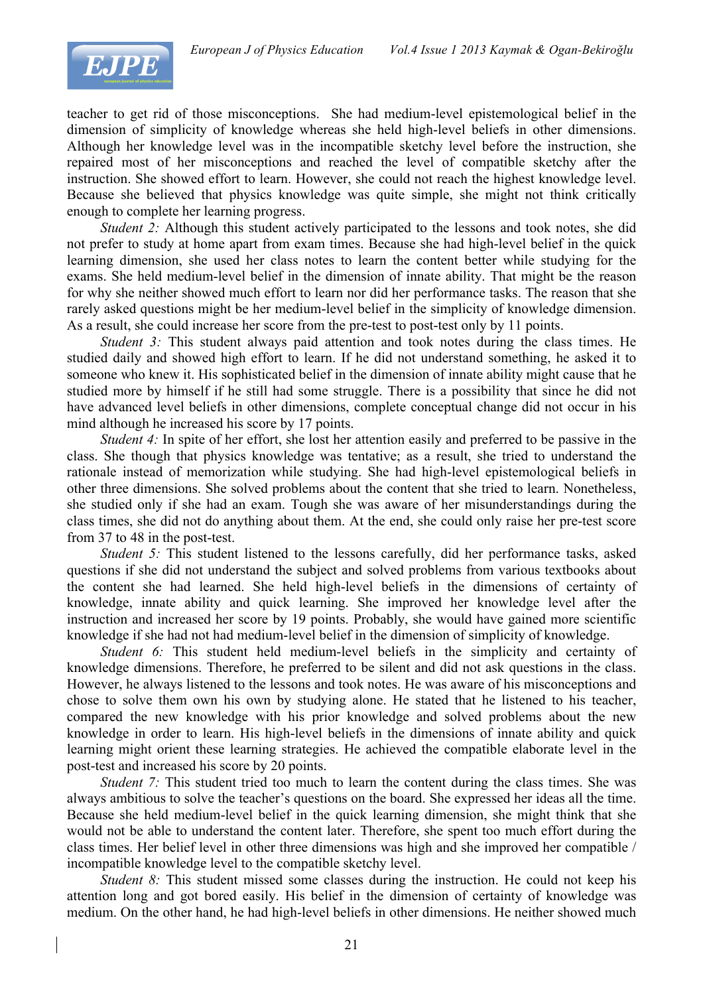

teacher to get rid of those misconceptions. She had medium-level epistemological belief in the dimension of simplicity of knowledge whereas she held high-level beliefs in other dimensions. Although her knowledge level was in the incompatible sketchy level before the instruction, she repaired most of her misconceptions and reached the level of compatible sketchy after the instruction. She showed effort to learn. However, she could not reach the highest knowledge level. Because she believed that physics knowledge was quite simple, she might not think critically enough to complete her learning progress.

*Student 2:* Although this student actively participated to the lessons and took notes, she did not prefer to study at home apart from exam times. Because she had high-level belief in the quick learning dimension, she used her class notes to learn the content better while studying for the exams. She held medium-level belief in the dimension of innate ability. That might be the reason for why she neither showed much effort to learn nor did her performance tasks. The reason that she rarely asked questions might be her medium-level belief in the simplicity of knowledge dimension. As a result, she could increase her score from the pre-test to post-test only by 11 points.

*Student 3:* This student always paid attention and took notes during the class times. He studied daily and showed high effort to learn. If he did not understand something, he asked it to someone who knew it. His sophisticated belief in the dimension of innate ability might cause that he studied more by himself if he still had some struggle. There is a possibility that since he did not have advanced level beliefs in other dimensions, complete conceptual change did not occur in his mind although he increased his score by 17 points.

*Student 4:* In spite of her effort, she lost her attention easily and preferred to be passive in the class. She though that physics knowledge was tentative; as a result, she tried to understand the rationale instead of memorization while studying. She had high-level epistemological beliefs in other three dimensions. She solved problems about the content that she tried to learn. Nonetheless, she studied only if she had an exam. Tough she was aware of her misunderstandings during the class times, she did not do anything about them. At the end, she could only raise her pre-test score from 37 to 48 in the post-test.

*Student 5:* This student listened to the lessons carefully, did her performance tasks, asked questions if she did not understand the subject and solved problems from various textbooks about the content she had learned. She held high-level beliefs in the dimensions of certainty of knowledge, innate ability and quick learning. She improved her knowledge level after the instruction and increased her score by 19 points. Probably, she would have gained more scientific knowledge if she had not had medium-level belief in the dimension of simplicity of knowledge.

*Student 6:* This student held medium-level beliefs in the simplicity and certainty of knowledge dimensions. Therefore, he preferred to be silent and did not ask questions in the class. However, he always listened to the lessons and took notes. He was aware of his misconceptions and chose to solve them own his own by studying alone. He stated that he listened to his teacher, compared the new knowledge with his prior knowledge and solved problems about the new knowledge in order to learn. His high-level beliefs in the dimensions of innate ability and quick learning might orient these learning strategies. He achieved the compatible elaborate level in the post-test and increased his score by 20 points.

*Student 7:* This student tried too much to learn the content during the class times. She was always ambitious to solve the teacher's questions on the board. She expressed her ideas all the time. Because she held medium-level belief in the quick learning dimension, she might think that she would not be able to understand the content later. Therefore, she spent too much effort during the class times. Her belief level in other three dimensions was high and she improved her compatible / incompatible knowledge level to the compatible sketchy level.

*Student 8:* This student missed some classes during the instruction. He could not keep his attention long and got bored easily. His belief in the dimension of certainty of knowledge was medium. On the other hand, he had high-level beliefs in other dimensions. He neither showed much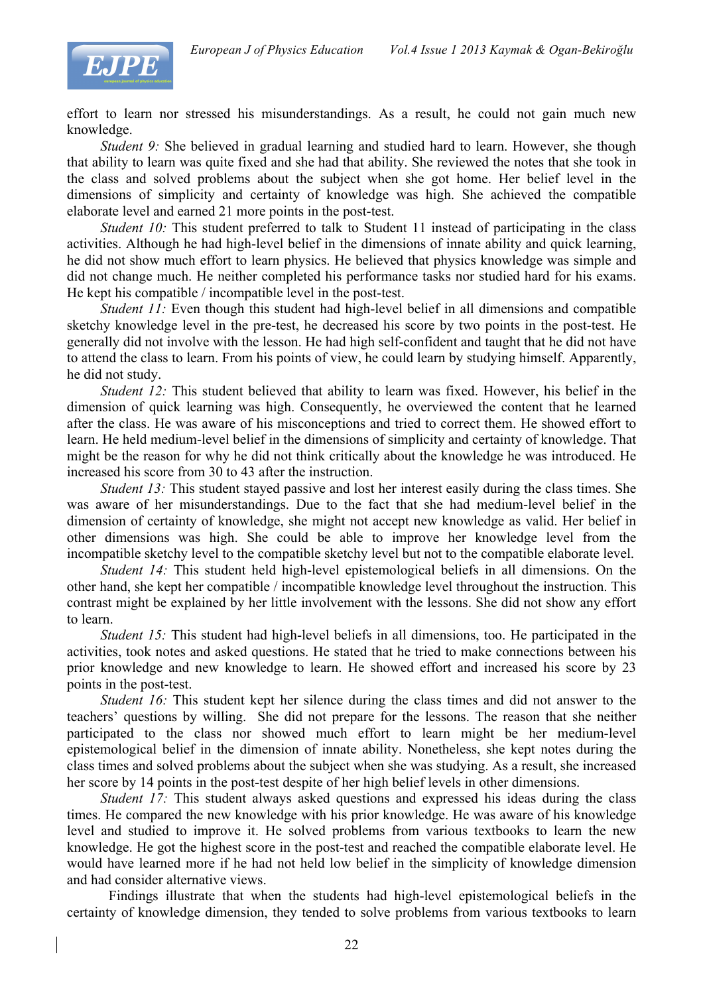

effort to learn nor stressed his misunderstandings. As a result, he could not gain much new knowledge.

*Student 9:* She believed in gradual learning and studied hard to learn. However, she though that ability to learn was quite fixed and she had that ability. She reviewed the notes that she took in the class and solved problems about the subject when she got home. Her belief level in the dimensions of simplicity and certainty of knowledge was high. She achieved the compatible elaborate level and earned 21 more points in the post-test.

*Student 10:* This student preferred to talk to Student 11 instead of participating in the class activities. Although he had high-level belief in the dimensions of innate ability and quick learning, he did not show much effort to learn physics. He believed that physics knowledge was simple and did not change much. He neither completed his performance tasks nor studied hard for his exams. He kept his compatible / incompatible level in the post-test.

*Student 11:* Even though this student had high-level belief in all dimensions and compatible sketchy knowledge level in the pre-test, he decreased his score by two points in the post-test. He generally did not involve with the lesson. He had high self-confident and taught that he did not have to attend the class to learn. From his points of view, he could learn by studying himself. Apparently, he did not study.

*Student 12:* This student believed that ability to learn was fixed. However, his belief in the dimension of quick learning was high. Consequently, he overviewed the content that he learned after the class. He was aware of his misconceptions and tried to correct them. He showed effort to learn. He held medium-level belief in the dimensions of simplicity and certainty of knowledge. That might be the reason for why he did not think critically about the knowledge he was introduced. He increased his score from 30 to 43 after the instruction.

*Student 13:* This student stayed passive and lost her interest easily during the class times. She was aware of her misunderstandings. Due to the fact that she had medium-level belief in the dimension of certainty of knowledge, she might not accept new knowledge as valid. Her belief in other dimensions was high. She could be able to improve her knowledge level from the incompatible sketchy level to the compatible sketchy level but not to the compatible elaborate level.

*Student 14:* This student held high-level epistemological beliefs in all dimensions. On the other hand, she kept her compatible / incompatible knowledge level throughout the instruction. This contrast might be explained by her little involvement with the lessons. She did not show any effort to learn.

*Student 15:* This student had high-level beliefs in all dimensions, too. He participated in the activities, took notes and asked questions. He stated that he tried to make connections between his prior knowledge and new knowledge to learn. He showed effort and increased his score by 23 points in the post-test.

*Student 16:* This student kept her silence during the class times and did not answer to the teachers' questions by willing. She did not prepare for the lessons. The reason that she neither participated to the class nor showed much effort to learn might be her medium-level epistemological belief in the dimension of innate ability. Nonetheless, she kept notes during the class times and solved problems about the subject when she was studying. As a result, she increased her score by 14 points in the post-test despite of her high belief levels in other dimensions.

*Student 17:* This student always asked questions and expressed his ideas during the class times. He compared the new knowledge with his prior knowledge. He was aware of his knowledge level and studied to improve it. He solved problems from various textbooks to learn the new knowledge. He got the highest score in the post-test and reached the compatible elaborate level. He would have learned more if he had not held low belief in the simplicity of knowledge dimension and had consider alternative views.

Findings illustrate that when the students had high-level epistemological beliefs in the certainty of knowledge dimension, they tended to solve problems from various textbooks to learn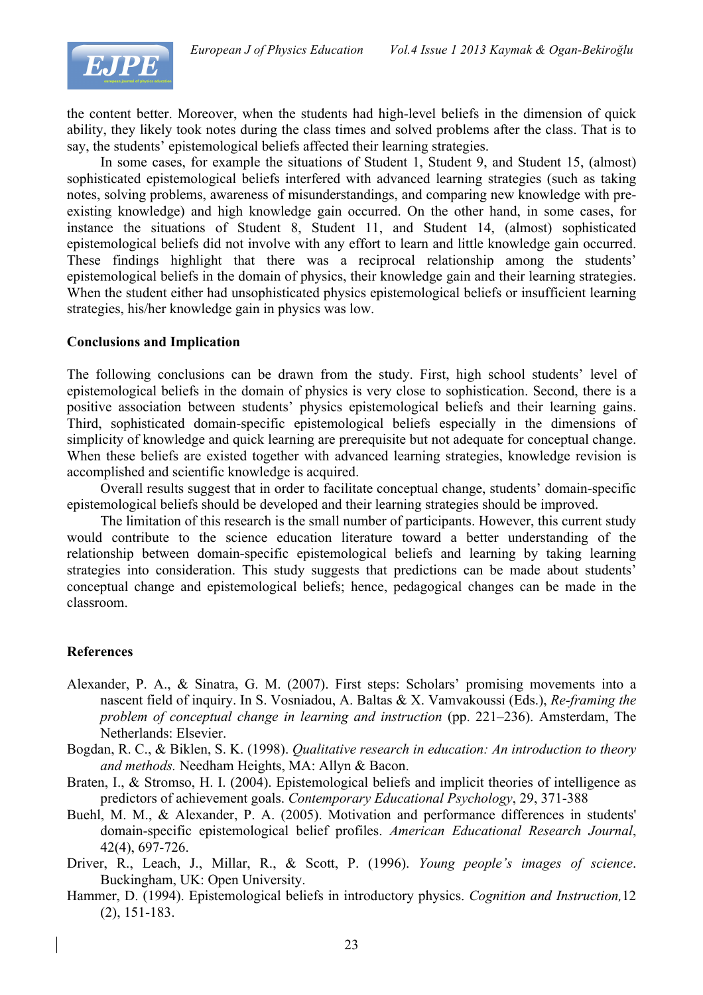

the content better. Moreover, when the students had high-level beliefs in the dimension of quick ability, they likely took notes during the class times and solved problems after the class. That is to say, the students' epistemological beliefs affected their learning strategies.

In some cases, for example the situations of Student 1, Student 9, and Student 15, (almost) sophisticated epistemological beliefs interfered with advanced learning strategies (such as taking notes, solving problems, awareness of misunderstandings, and comparing new knowledge with preexisting knowledge) and high knowledge gain occurred. On the other hand, in some cases, for instance the situations of Student 8, Student 11, and Student 14, (almost) sophisticated epistemological beliefs did not involve with any effort to learn and little knowledge gain occurred. These findings highlight that there was a reciprocal relationship among the students' epistemological beliefs in the domain of physics, their knowledge gain and their learning strategies. When the student either had unsophisticated physics epistemological beliefs or insufficient learning strategies, his/her knowledge gain in physics was low.

### **Conclusions and Implication**

The following conclusions can be drawn from the study. First, high school students' level of epistemological beliefs in the domain of physics is very close to sophistication. Second, there is a positive association between students' physics epistemological beliefs and their learning gains. Third, sophisticated domain-specific epistemological beliefs especially in the dimensions of simplicity of knowledge and quick learning are prerequisite but not adequate for conceptual change. When these beliefs are existed together with advanced learning strategies, knowledge revision is accomplished and scientific knowledge is acquired.

Overall results suggest that in order to facilitate conceptual change, students' domain-specific epistemological beliefs should be developed and their learning strategies should be improved.

The limitation of this research is the small number of participants. However, this current study would contribute to the science education literature toward a better understanding of the relationship between domain-specific epistemological beliefs and learning by taking learning strategies into consideration. This study suggests that predictions can be made about students' conceptual change and epistemological beliefs; hence, pedagogical changes can be made in the classroom.

### **References**

- Alexander, P. A., & Sinatra, G. M. (2007). First steps: Scholars' promising movements into a nascent field of inquiry. In S. Vosniadou, A. Baltas & X. Vamvakoussi (Eds.), *Re-framing the problem of conceptual change in learning and instruction* (pp. 221–236). Amsterdam, The Netherlands: Elsevier.
- Bogdan, R. C., & Biklen, S. K. (1998). *Qualitative research in education: An introduction to theory and methods.* Needham Heights, MA: Allyn & Bacon.
- Braten, I., & Stromso, H. I. (2004). Epistemological beliefs and implicit theories of intelligence as predictors of achievement goals. *Contemporary Educational Psychology*, 29, 371-388
- Buehl, M. M., & Alexander, P. A. (2005). Motivation and performance differences in students' domain-specific epistemological belief profiles. *American Educational Research Journal*, 42(4), 697-726.
- Driver, R., Leach, J., Millar, R., & Scott, P. (1996). *Young people's images of science*. Buckingham, UK: Open University.
- Hammer, D. (1994). Epistemological beliefs in introductory physics. *Cognition and Instruction,*12 (2), 151-183.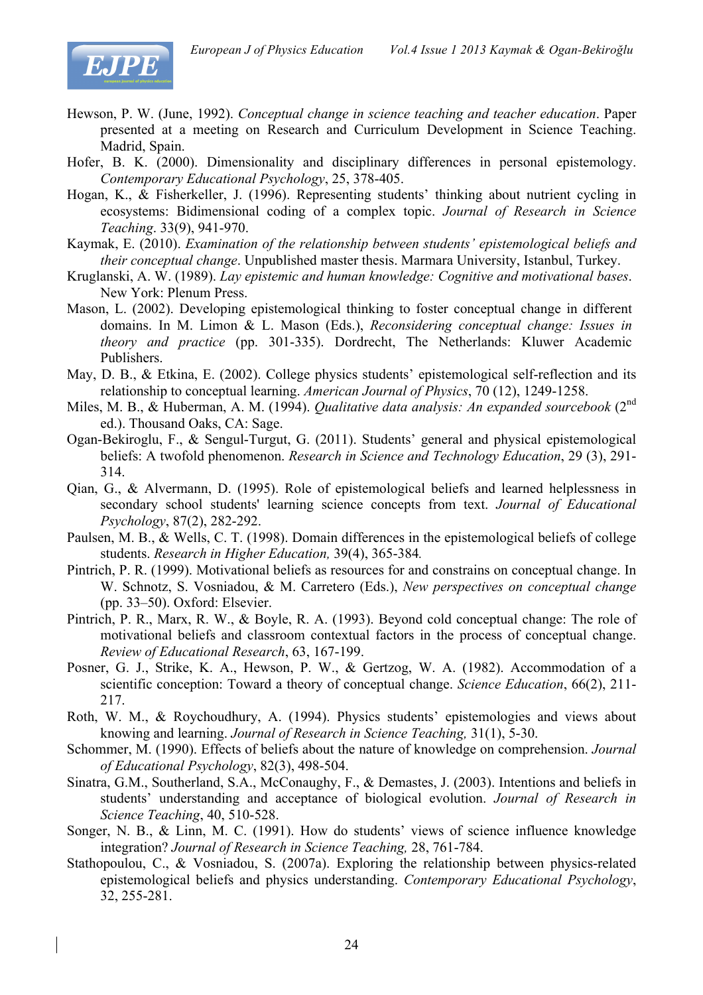

- Hewson, P. W. (June, 1992). *Conceptual change in science teaching and teacher education*. Paper presented at a meeting on Research and Curriculum Development in Science Teaching. Madrid, Spain.
- Hofer, B. K. (2000). Dimensionality and disciplinary differences in personal epistemology. *Contemporary Educational Psychology*, 25, 378-405.
- Hogan, K., & Fisherkeller, J. (1996). Representing students' thinking about nutrient cycling in ecosystems: Bidimensional coding of a complex topic. *Journal of Research in Science Teaching*. 33(9), 941-970.
- Kaymak, E. (2010). *Examination of the relationship between students' epistemological beliefs and their conceptual change*. Unpublished master thesis. Marmara University, Istanbul, Turkey.
- Kruglanski, A. W. (1989). *Lay epistemic and human knowledge: Cognitive and motivational bases*. New York: Plenum Press.
- Mason, L. (2002). Developing epistemological thinking to foster conceptual change in different domains. In M. Limon & L. Mason (Eds.), *Reconsidering conceptual change: Issues in theory and practice* (pp. 301-335). Dordrecht, The Netherlands: Kluwer Academic Publishers.
- May, D. B., & Etkina, E. (2002). College physics students' epistemological self-reflection and its relationship to conceptual learning. *American Journal of Physics*, 70 (12), 1249-1258.
- Miles, M. B., & Huberman, A. M. (1994). *Qualitative data analysis: An expanded sourcebook* (2<sup>nd</sup>) ed.). Thousand Oaks, CA: Sage.
- Ogan-Bekiroglu, F., & Sengul-Turgut, G. (2011). Students' general and physical epistemological beliefs: A twofold phenomenon. *Research in Science and Technology Education*, 29 (3), 291- 314.
- Qian, G., & Alvermann, D. (1995). Role of epistemological beliefs and learned helplessness in secondary school students' learning science concepts from text. *Journal of Educational Psychology*, 87(2), 282-292.
- Paulsen, M. B., & Wells, C. T. (1998). Domain differences in the epistemological beliefs of college students. *Research in Higher Education,* 39(4), 365-384*.*
- Pintrich, P. R. (1999). Motivational beliefs as resources for and constrains on conceptual change. In W. Schnotz, S. Vosniadou, & M. Carretero (Eds.), *New perspectives on conceptual change* (pp. 33–50). Oxford: Elsevier.
- Pintrich, P. R., Marx, R. W., & Boyle, R. A. (1993). Beyond cold conceptual change: The role of motivational beliefs and classroom contextual factors in the process of conceptual change. *Review of Educational Research*, 63, 167-199.
- Posner, G. J., Strike, K. A., Hewson, P. W., & Gertzog, W. A. (1982). Accommodation of a scientific conception: Toward a theory of conceptual change. *Science Education*, 66(2), 211- 217.
- Roth, W. M., & Roychoudhury, A. (1994). Physics students' epistemologies and views about knowing and learning. *Journal of Research in Science Teaching,* 31(1), 5-30.
- Schommer, M. (1990). Effects of beliefs about the nature of knowledge on comprehension. *Journal of Educational Psychology*, 82(3), 498-504.
- Sinatra, G.M., Southerland, S.A., McConaughy, F., & Demastes, J. (2003). Intentions and beliefs in students' understanding and acceptance of biological evolution. *Journal of Research in Science Teaching*, 40, 510-528.
- Songer, N. B., & Linn, M. C. (1991). How do students' views of science influence knowledge integration? *Journal of Research in Science Teaching,* 28, 761-784.
- Stathopoulou, C., & Vosniadou, S. (2007a). Exploring the relationship between physics-related epistemological beliefs and physics understanding. *Contemporary Educational Psychology*, 32, 255-281.